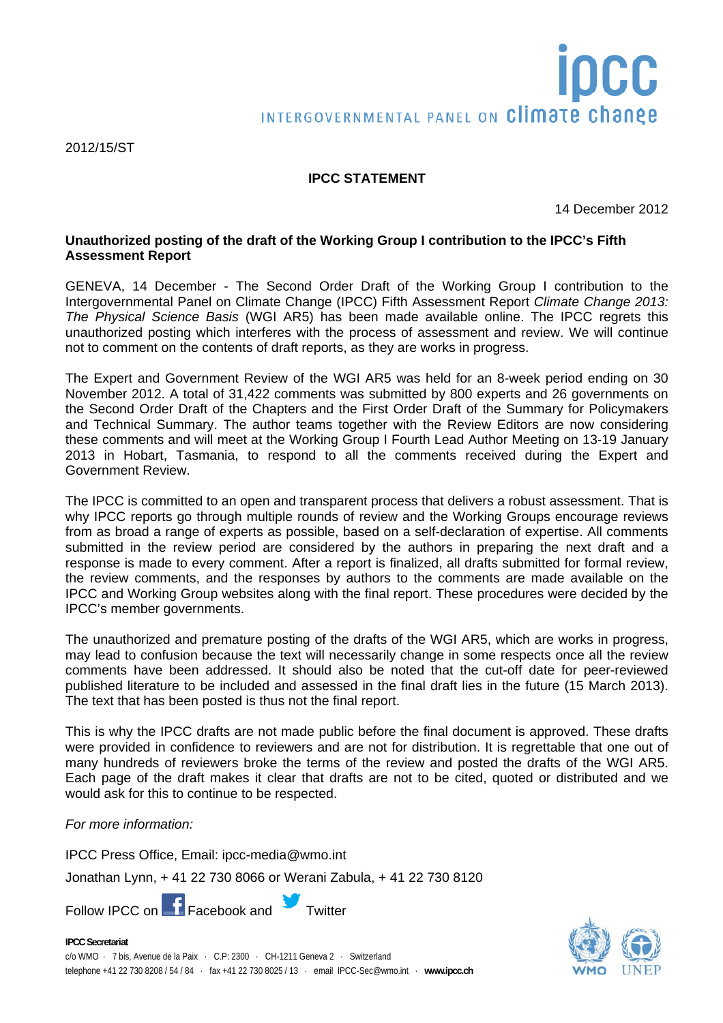2012/15/ST

## **IPCC STATEMENT**

14 December 2012

## **Unauthorized posting of the draft of the Working Group I contribution to the IPCC's Fifth Assessment Report**

GENEVA, 14 December - The Second Order Draft of the Working Group I contribution to the Intergovernmental Panel on Climate Change (IPCC) Fifth Assessment Report *Climate Change 2013: The Physical Science Basis* (WGI AR5) has been made available online. The IPCC regrets this unauthorized posting which interferes with the process of assessment and review. We will continue not to comment on the contents of draft reports, as they are works in progress.

The Expert and Government Review of the WGI AR5 was held for an 8-week period ending on 30 November 2012. A total of 31,422 comments was submitted by 800 experts and 26 governments on the Second Order Draft of the Chapters and the First Order Draft of the Summary for Policymakers and Technical Summary. The author teams together with the Review Editors are now considering these comments and will meet at the Working Group I Fourth Lead Author Meeting on 13-19 January 2013 in Hobart, Tasmania, to respond to all the comments received during the Expert and Government Review.

The IPCC is committed to an open and transparent process that delivers a robust assessment. That is why IPCC reports go through multiple rounds of review and the Working Groups encourage reviews from as broad a range of experts as possible, based on a self-declaration of expertise. All comments submitted in the review period are considered by the authors in preparing the next draft and a response is made to every comment. After a report is finalized, all drafts submitted for formal review, the review comments, and the responses by authors to the comments are made available on the IPCC and Working Group websites along with the final report. These procedures were decided by the IPCC's member governments.

The unauthorized and premature posting of the drafts of the WGI AR5, which are works in progress, may lead to confusion because the text will necessarily change in some respects once all the review comments have been addressed. It should also be noted that the cut-off date for peer-reviewed published literature to be included and assessed in the final draft lies in the future (15 March 2013). The text that has been posted is thus not the final report.

This is why the IPCC drafts are not made public before the final document is approved. These drafts were provided in confidence to reviewers and are not for distribution. It is regrettable that one out of many hundreds of reviewers broke the terms of the review and posted the drafts of the WGI AR5. Each page of the draft makes it clear that drafts are not to be cited, quoted or distributed and we would ask for this to continue to be respected.

*For more information:* 

IPCC Press Office, Email: ipcc-media@wmo.int

Jonathan Lynn, + 41 22 730 8066 or Werani Zabula, + 41 22 730 8120

Follow IPCC o[n](http://www.facebook.com/IPCCNews) Facebook an[d T](http://twitter.com/ipcc_ch)witter

**IPCC Secretariat**